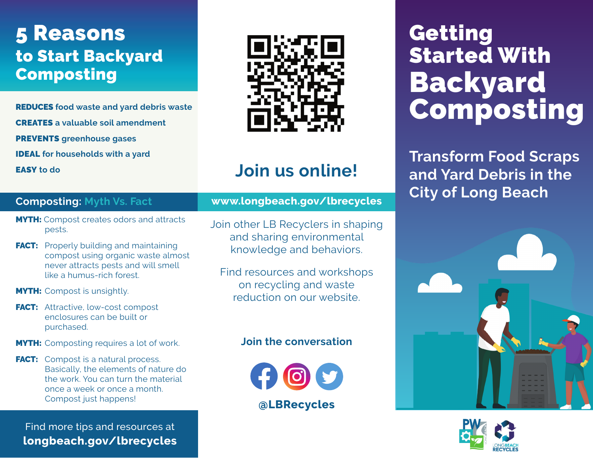# 5 Reasons to Start Backyard Composting

REDUCES **food waste and yard debris waste** CREATES **a valuable soil amendment** PREVENTS **greenhouse gases** IDEAL **for households with a yard**



# **Join us online!**

# **Composting: Myth Vs. Fact**

EASY **to do**

- **MYTH:** Compost creates odors and attracts pests.
- **FACT:** Properly building and maintaining compost using organic waste almost never attracts pests and will smell like a humus-rich forest.
- **MYTH:** Compost is unsightly.
- FACT: Attractive, low-cost compost enclosures can be built or purchased.
- **MYTH:** Composting requires a lot of work.
- **FACT:** Compost is a natural process. Basically, the elements of nature do the work. You can turn the material once a week or once a month. Compost just happens!

Find more tips and resources at **[longbeach.gov/lbrecycles](http://www.longbeach.gov/lbrecycles)**

# **[www.longbeach.gov/lbrecycles](http://www.longbeach.gov/lbrecycles )**

- Join other LB Recyclers in shaping and sharing environmental knowledge and behaviors.
	- Find resources and workshops on recycling and waste reduction on our website.

# **Join the conversation**



# Getting Started With Backyard Composting

**Transform Food Scraps and Yard Debris in the City of Long Beach**